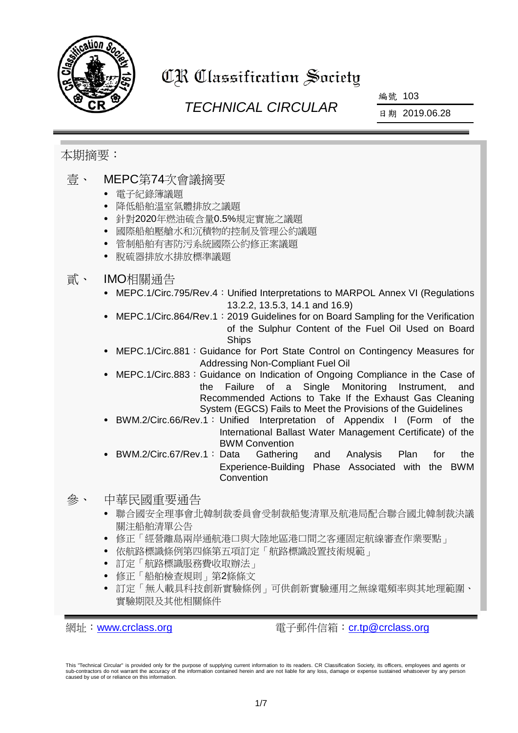

# CR Classification Society

# *TECHNICAL CIRCULAR*

編號 103

日期 2019.06.28

# 本期摘要:

# 壹、 MEPC第74次會議摘要

- 電子紀錄簿議題
- 降低船舶溫室氣體排放之議題
- 針對2020年燃油硫含量0.5%規定實施之議題
- 國際船舶壓艙水和沉積物的控制及管理公約議題
- 管制船舶有害防污系統國際公約修正案議題
- 脫硫器排放水排放標準議題

## 貳、 IMO相關通告

- MEPC.1/Circ.795/Rev.4: Unified Interpretations to MARPOL Annex VI (Regulations 13.2.2, 13.5.3, 14.1 and 16.9)
- MEPC.1/Circ.864/Rev.1: 2019 Guidelines for on Board Sampling for the Verification of the Sulphur Content of the Fuel Oil Used on Board Ships
- MEPC.1/Circ.881: Guidance for Port State Control on Contingency Measures for Addressing Non-Compliant Fuel Oil
- MEPC.1/Circ.883:Guidance on Indication of Ongoing Compliance in the Case of the Failure of a Single Monitoring Instrument, and Recommended Actions to Take If the Exhaust Gas Cleaning System (EGCS) Fails to Meet the Provisions of the Guidelines
- BWM.2/Circ.66/Rev.1: Unified Interpretation of Appendix I (Form of the International Ballast Water Management Certificate) of the BWM Convention
- BWM.2/Circ.67/Rev.1: Data Gathering and Analysis Plan for the Experience-Building Phase Associated with the BWM Convention

## 參、 中華民國重要通告

- 聯合國安全理事會北韓制裁委員會受制裁船隻清單及航港局配合聯合國北韓制裁決議 關注船舶清單公告
- 修正「經營離島兩岸通航港口與大陸地區港口間之客運固定航線審查作業要點」
- 依航路標識條例第四條第五項訂定「航路標識設置技術規範」
- 訂定「航路標識服務費收取辦法」
- 修正「船舶檢查規則」第2條條文
- 訂定「無人載具科技創新實驗條例」可供創新實驗運用之無線電頻率與其地理範圍、 實驗期限及其他相關條件

網址: [www.crclass.org](http://www.crclass.org/) 雷子郵件信箱: [cr.tp@crclass.org](mailto:cr.tp@crclass.org)

This "Technical Circular" is provided only for the purpose of supplying current information to its readers. CR Classification Society, its officers, employees and agents or sub-contractors do not warrant the accuracy of the information contained herein and are not liable for any loss, damage or expense sustained whatsoever by any person caused by use of or reliance on this information.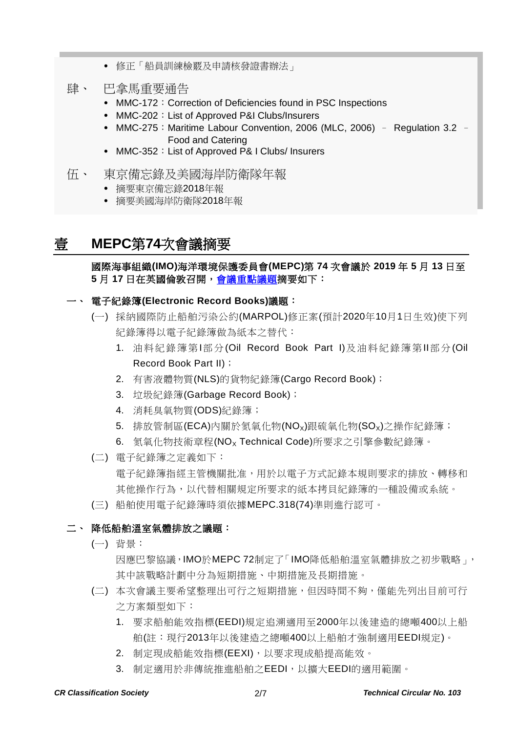- 修正「船員訓練檢覈及申請核發證書辦法」
- 肆、 巴拿馬重要通告
	- MMC-172: Correction of Deficiencies found in PSC Inspections
	- MMC-202: List of Approved P&I Clubs/Insurers
	- MMC-275: Maritime Labour Convention, 2006 (MLC, 2006) Regulation 3.2 -Food and Catering
	- MMC-352: List of Approved P& I Clubs/ Insurers
- 伍、 東京備忘錄及美國海岸防衛隊年報
	- 摘要東京備忘錄2018年報
	- 摘要美國海岸防衛隊2018年報

## 壹 **MEPC**第**74**次會議摘要

國際海事組織**(IMO)**海洋環境保護委員會**(MEPC)**第 **74** 次會議於 **2019** 年 **5** 月 **13** 日至 5月17日在英國倫敦召開[,會議重點議題摘](http://www.imo.org/en/MediaCentre/MeetingSummaries/MEPC/Pages/MEPC-74th-session.aspx)要如下:

#### 一、 電子紀錄簿**(Electronic Record Books)**議題:

- (一) 採納國際防止船舶污染公約(MARPOL)修正案(預計2020年10月1日生效)使下列 紀錄簿得以電子紀錄簿做為紙本之替代:
	- 1. 油料紀錄簿第I部分(Oil Record Book Part I)及油料紀錄簿第II部分(Oil Record Book Part II);
	- 2. 有害液體物質(NLS)的貨物紀錄簿(Cargo Record Book);
	- 3. 垃圾紀錄簿(Garbage Record Book);
	- 4. 消耗臭氧物質(ODS)紀錄簿;
	- 5. 排放管制區(ECA)內關於氮氧化物(NO<sub>x</sub>)跟硫氧化物(SO<sub>x</sub>)之操作紀錄簿;
	- 6. 氮氧化物技術章程(NO<sub>x</sub> Technical Code)所要求之引擎參數紀錄簿。
- (二) 電子紀錄簿之定義如下: 電子紀錄簿指經主管機關批准,用於以電子方式記錄本規則要求的排放、轉移和 其他操作行為,以代替相關規定所要求的紙本拷貝紀錄簿的一種設備或系統。
- (三) 船舶使用電子紀錄簿時須依據MEPC.318(74)準則進行認可。

#### 二、 降低船舶溫室氣體排放之議題:

- (一) 背景:
	- 因應巴黎協議,IMO於MEPC 72制定了「IMO降低船舶溫室氣體排放之初步戰略」, 其中該戰略計劃中分為短期措施、中期措施及長期措施。
- (二) 本次會議主要希望整理出可行之短期措施,但因時間不夠,僅能先列出目前可行 之方案類型如下:
	- 1. 要求船舶能效指標(EEDI)規定追溯適用至2000年以後建造的總噸400以上船 舶(註:現行2013年以後建造之總噸400以上船舶才強制適用EEDI規定)。
	- 2. 制定現成船能效指標(EEXI),以要求現成船提高能效。
	- 3. 制定適用於非傳統推進船舶之EEDI,以擴大EEDI的適用範圍。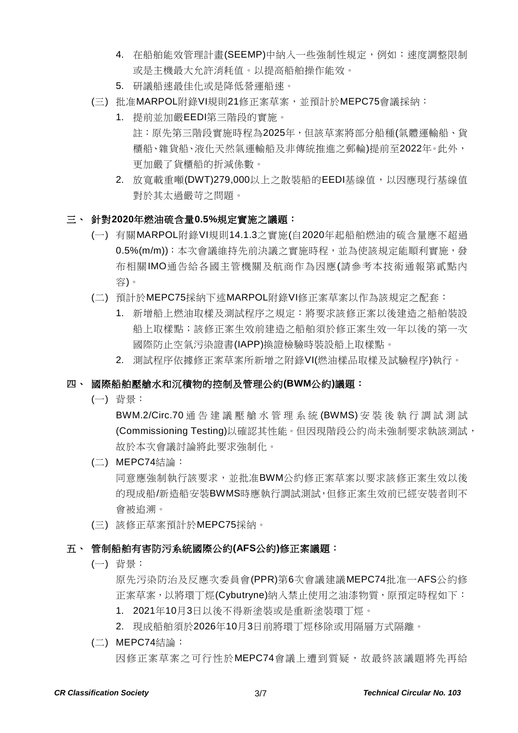- 4. 在船舶能效管理計畫(SEEMP)中納入一些強制性規定,例如:速度調整限制 或是主機最大允許消耗值。以提高船舶操作能效。
- 5. 研議船速最佳化或是降低營運船速。
- (三) 批准MARPOL附錄VI規則21修正案草案,並預計於MEPC75會議採納:
	- 1. 提前並加嚴EEDI第三階段的實施。 註:原先第三階段實施時程為2025年,但該草案將部分船種(氣體運輸船、貨 櫃船、雜貨船、液化天然氣運輸船及非傳統推進之郵輪)提前至2022年。此外, 更加嚴了貨櫃船的折減係數。
	- 2. 放寬載重噸(DWT)279,000以上之散裝船的EEDI基線值,以因應現行基線值 對於其太過嚴苛之問題。

#### 三、 針對**2020**年燃油硫含量**0.5%**規定實施之議題:

- (一) 有關MARPOL附錄VI規則14.1.3之實施(自2020年起船舶燃油的硫含量應不超過 0.5%(m/m)):本次會議維持先前決議之實施時程,並為使該規定能順利實施,發 布相關IMO通告給各國主管機關及航商作為因應(請參考本技術通報第貳點內 容)。
- (二) 預計於MEPC75採納下述MARPOL附錄VI修正案草案以作為該規定之配套:
	- 1. 新增船上燃油取樣及測試程序之規定:將要求該修正案以後建造之船舶裝設 船上取樣點;該修正案生效前建造之船舶須於修正案生效一年以後的第一次 國際防止空氣污染證書(IAPP)換證檢驗時裝設船上取樣點。
	- 2. 測試程序依據修正案草案所新增之附錄VI(燃油樣品取樣及試驗程序)執行。

#### 四、 國際船舶壓艙水和沉積物的控制及管理公約**(BWM**公約**)**議題:

(一) 背景:

BWM.2/Circ.70 通告建議壓艙水管理系統 (BWMS) 安裝後執行調試測試 (Commissioning Testing)以確認其性能。但因現階段公約尚未強制要求執該測試, 故於本次會議討論將此要求強制化。

#### (二) MEPC74結論:

同意應強制執行該要求,並批准BWM公約修正案草案以要求該修正案生效以後 的現成船/新造船安裝BWMS時應執行調試測試,但修正案生效前已經安裝者則不 會被追溯。

(三) 該修正草案預計於MEPC75採納。

#### 五、 管制船舶有害防污系統國際公約**(AFS**公約**)**修正案議題:

(一) 背景:

原先污染防治及反應次委員會(PPR)第6次會議建議MEPC74批准一AFS公約修 正案草案,以將環丁烴(Cybutryne)納入禁止使用之油漆物質,原預定時程如下:

- 1. 2021年10月3日以後不得新塗裝或是重新塗裝環丁烴。
- 2. 現成船舶須於2026年10月3日前將環丁烴移除或用隔層方式隔離。
- (二) MEPC74結論:

因修正案草案之可行性於MEPC74會議上遭到質疑,故最終該議題將先再給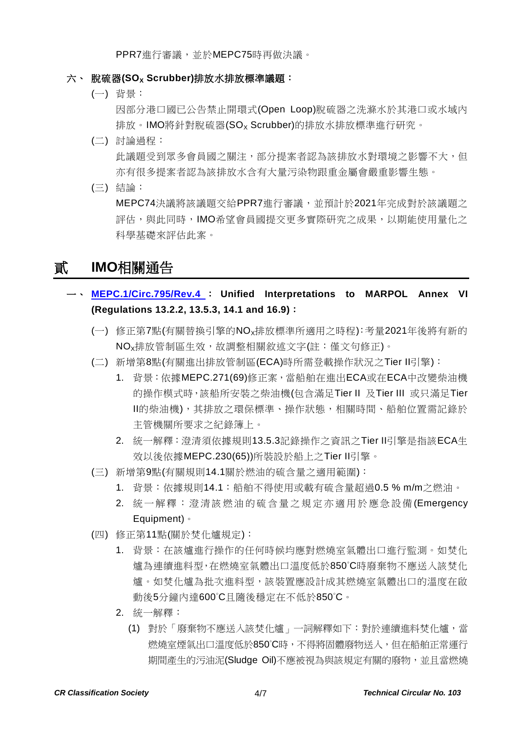PPR7進行審議,並於MEPC75時再做決議。

#### 六、 脫硫器(SO<sub>x</sub> Scrubber)排放水排放標準議題:

(一) 背景:

因部分港口國已公告禁止開環式(Open Loop)脫硫器之洗滌水於其港口或水域內 排放。IMO將針對脫硫器(SO<sub>x</sub> Scrubber)的排放水排放標準進行研究。

- (二) 討論過程: 此議題受到眾多會員國之關注,部分提案者認為該排放水對環境之影響不大,但 亦有很多提案者認為該排放水含有大量污染物跟重金屬會嚴重影響生態。
- (三) 結論:

MEPC74決議將該議題交給PPR7進行審議,並預計於2021年完成對於該議題之 評估,與此同時,IMO希望會員國提交更多實際研究之成果,以期能使用量化之 科學基礎來評估此案。

# 貳 **IMO**相關通告

- 一、 **[MEPC.1/Circ.795/Rev.4](https://www.crclass.org/chinese/download/ti-tc/103/2-1%20MEPC.1-Circ.795-Rev.4%20-%20Unified%20Interpretations%20To%20Marpol%20Annex%20Vi%20(Secretariat).pdf)** : **Unified Interpretations to MARPOL Annex VI (Regulations 13.2.2, 13.5.3, 14.1 and 16.9)**:
	- (一) 修正第7點(有關替換引擎的NOx排放標準所適用之時程):考量2021年後將有新的 NOx排放管制區生效,故調整相關敘述文字(註:僅文句修正)。
	- (二) 新增第8點(有關進出排放管制區(ECA)時所需登載操作狀況之Tier II引擎):
		- 1. 背景:依據MEPC.271(69)修正案,當船舶在進出ECA或在ECA中改變柴油機 的操作模式時,該船所安裝之柴油機(包含滿足Tier II 及Tier III 或只滿足Tier II的柴油機),其排放之環保標準、操作狀態,相關時間、船舶位置需記錄於 主管機關所要求之紀錄簿上。
		- 2. 統一解釋:澄清須依據規則13.5.3記錄操作之資訊之Tier II引擎是指該ECA生 效以後依據MEPC.230(65))所裝設於船上之Tier II引擎。
	- (三) 新增第9點(有關規則14.1關於燃油的硫含量之適用範圍):
		- 1. 背景:依據規則14.1:船舶不得使用或載有硫含量超過0.5 % m/m之燃油。
		- 2. 統一解釋:澄清該燃油的硫含量之規定亦適用於應急設備(Emergency Equipment)。
	- (四) 修正第11點(關於焚化爐規定):
		- 1. 背景:在該爐進行操作的任何時候均應對燃燒室氣體出口進行監測。如焚化 爐為連續進料型,在燃燒室氣體出口溫度低於850°C時廢棄物不應送入該焚化 爐。如焚化爐為批次進料型,該裝置應設計成其燃燒室氣體出口的溫度在啟 動後5分鐘內達600°C且隨後穩定在不低於850°C。
		- 2. 統一解釋:
			- (1) 對於「廢棄物不應送入該焚化爐」一詞解釋如下:對於連續進料焚化爐,當 燃燒室煙氣出口溫度低於850℃時,不得將固體廢物送入,但在船舶正常運行 期間產生的污油泥(Sludge Oil)不應被視為與該規定有關的廢物,並且當燃燒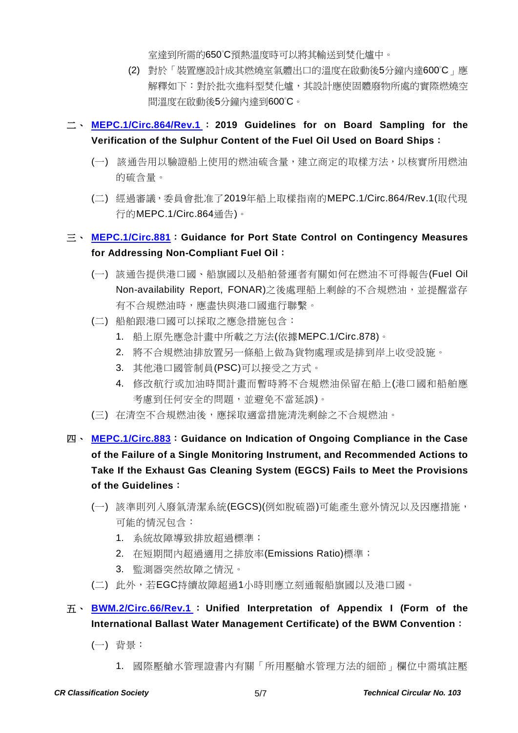室達到所需的650°C預熱溫度時可以將其輸送到焚化爐中。

- (2) 對於「裝置應設計成其燃燒室氣體出口的溫度在啟動後5分鐘內達600°C」應 解釋如下:對於批次進料型焚化爐,其設計應使固體廢物所處的實際燃燒空 間溫度在啟動後5分鐘內達到600°C。
- 二、 **[MEPC.1/Circ.864/Rev.1](https://www.crclass.org/chinese/download/ti-tc/103/2-2%20MEPC.1-Circ.864-Rev.1%20-%202019%20Guidelines%20For%20On%20Board%20Sampling%20For%20The%20Verification%20Of%20The%20Sulphur%20Content%20Of%20The%20F...%20(Secretari.pdf)** : **2019 Guidelines for on Board Sampling for the Verification of the Sulphur Content of the Fuel Oil Used on Board Ships**:
	- (一) 該通告用以驗證船上使用的燃油硫含量,建立商定的取樣方法,以核實所用燃油 的硫含量。
	- (二) 經過審議,委員會批准了2019年船上取樣指南的MEPC.1/Circ.864/Rev.1(取代現 行的MEPC.1/Circ.864通告)。

## 三、 **[MEPC.1/Circ.881](https://www.crclass.org/chinese/download/ti-tc/103/2-3%20MEPC.1-Circ.881%20-%20Guidance%20For%20Port%20State%20Control%20On%20Contingency%20Measures%20For%20Addressing%20Non-Compliant%20Fuel...%20(Secretariat).pdf)**:**Guidance for Port State Control on Contingency Measures for Addressing Non-Compliant Fuel Oil**:

- (一) 該通告提供港口國、船旗國以及船舶營運者有關如何在燃油不可得報告(Fuel Oil Non-availability Report, FONAR)之後處理船上剩餘的不合規燃油,並提醒當存 有不合規燃油時,應盡快與港口國進行聯繫。
- (二) 船舶跟港口國可以採取之應急措施包含:
	- 1. 船上原先應急計畫中所載之方法(依據MEPC.1/Circ.878)。
	- 2. 將不合規燃油排放置另一條船上做為貨物處理或是排到岸上收受設施。
	- 3. 其他港口國管制員(PSC)可以接受之方式。
	- 4. 修改航行或加油時間計畫而暫時將不合規燃油保留在船上(港口國和船舶應 考慮到任何安全的問題,並避免不當延誤)。
- (三) 在清空不合規燃油後,應採取適當措施清洗剩餘之不合規燃油。
- 四、 **[MEPC.1/Circ.883](https://www.crclass.org/chinese/download/ti-tc/103/2-4%20MEPC.1-Circ.883%20-%20Guidance%20On%20Indication%20Of%20Ongoing%20Compliance%20In%20The%20Case%20Of%20The%20Failure%20Of%20A%20Single%20Monito...%20(Secretariat).pdf)**:**Guidance on Indication of Ongoing Compliance in the Case of the Failure of a Single Monitoring Instrument, and Recommended Actions to Take If the Exhaust Gas Cleaning System (EGCS) Fails to Meet the Provisions of the Guidelines**:
	- (一) 該準則列入廢氣清潔系統(EGCS)(例如脫硫器)可能產生意外情況以及因應措施, 可能的情況包含:
		- 1. 系統故障導致排放超過標準;
		- 2. 在短期間內超過適用之排放率(Emissions Ratio)標準;
		- 3. 監測器突然故障之情況。
	- (二) 此外,若EGC持續故障超過1小時則應立刻通報船旗國以及港口國。

# 五、 **[BWM.2/Circ.66/Rev.1](https://www.crclass.org/chinese/download/ti-tc/103/2-5%20BWM.2-Circ.66-Rev.1%20-%20Unified%20interpretation%20of%20Appendix%20I%20(Form%20of%20the%20International%20Ballast%20Water%20Management%20C...%20(Secretariat).pdf)** : **Unified Interpretation of Appendix I (Form of the International Ballast Water Management Certificate) of the BWM Convention**:

(一) 背景:

1. 國際壓艙水管理證書內有關「所用壓艙水管理方法的細節」欄位中需填註壓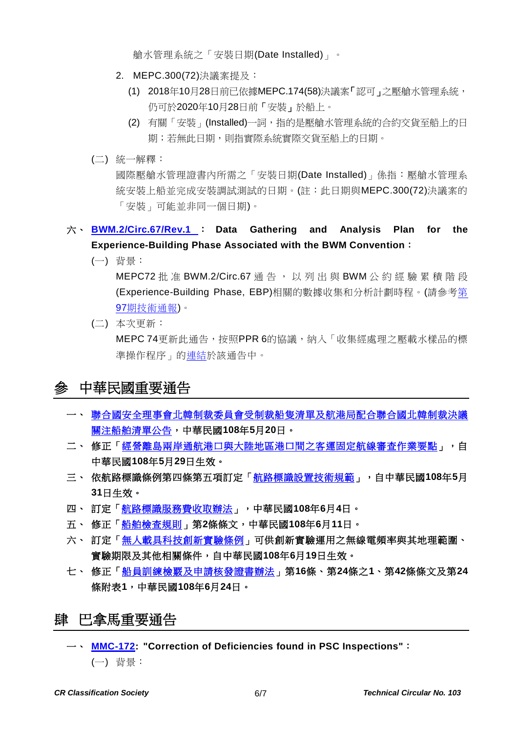艙水管理系統之「安裝日期(Date Installed)」。

- 2. MEPC.300(72)決議案提及:
	- (1) 2018年10月28日前已依據MEPC.174(58)決議案「認可」之壓艙水管理系統, 仍可於2020年10月28日前「安裝」於船上。
	- (2) 有關「安裝」(Installed)一詞, 指的是壓艙水管理系統的合約交貨至船上的日 期;若無此日期,則指實際系統實際交貨至船上的日期。
- (二) 統一解釋:

國際壓艙水管理證書內所需之「安裝日期(Date Installed)」係指:壓艙水管理系 統安裝上船並完成安裝調試測試的日期。(註:此日期與MEPC.300(72)決議案的 「安裝」可能並非同一個日期)。

- 六、 **[BWM.2/Circ.67/Rev.1](https://www.crclass.org/chinese/download/ti-tc/103/2-6%20BWM.2-Circ.67-Rev.1%20-%20Data%20gathering%20and%20analysis%20plan%20for%20the%20experience-building%20phase%20associated%20with%20the%20BWM...%20(Secretariat).pdf)** : **Data Gathering and Analysis Plan for the Experience-Building Phase Associated with the BWM Convention**:
	- (一) 背景:

MEPC72批准 BWM.2/Circ.67 通告, 以列出與 BWM 公約經驗累積階段 (Experience-Building Phase, EBP)相關的數據收集和分析計劃時程。(請參[考第](https://www.crclass.org/chinese/download/ti-tc/97/97.pdf) 97[期技術通報](https://www.crclass.org/chinese/download/ti-tc/97/97.pdf))。

(二) 本次更新:

MEPC 74更新此通告,按照PPR 6的協議,納入「收集經處理之壓載水樣品的標 準操作程序」[的連結於](http://www.ices.dk/community/Documents/Expert%20Groups/WGBOSV/SOP_inline%20ballast%20water%20sampling.pdf)該通告中。

# 參 中華民國重要通告

- 一、 [聯合國安全理事會北韓制裁委員會受制裁船隻清單及航港局配合聯合國北韓制裁決議](https://www.motcmpb.gov.tw/Information/Detail/cfc09406-61f5-4462-a7ee-4bb3de2fdab0?SiteId=1&NodeId=103) [關注船舶清單公告,](https://www.motcmpb.gov.tw/Information/Detail/cfc09406-61f5-4462-a7ee-4bb3de2fdab0?SiteId=1&NodeId=103)中華民國**108**年**5**月**20**日。
- 二、 修正「經營離島兩岸通航港口與大陸地區港口間之客運固定航線審査作業要點」,自 中華民國**108**年**5**月**29**日生效。
- 三、 依航路標識條例第四條第五項訂定[「航路標識設置技術規範」](https://gazette.nat.gov.tw/egFront/detail.do?metaid=107469&log=detailLog),自中華民國**108**年**5**月 **31**日生效。
- 四、 訂定[「航路標識服務費收取辦法」](https://gazette.nat.gov.tw/egFront/detail.do?metaid=107560&log=detailLog),中華民國**108**年**6**月**4**日。
- 五、 修正[「船舶檢查規則」](https://gazette.nat.gov.tw/egFront/detail.do?metaid=107742&log=detailLog)第**2**條條文,中華民國**108**年**6**月**11**日。
- 六、 訂定[「無人載具科技創新實驗條例」](https://gazette.nat.gov.tw/egFront/detail.do?metaid=107944&log=detailLog)可供創新實驗運用之無線電頻率與其地理範圍、 實驗期限及其他相關條件,自中華民國**108**年**6**月**19**日生效。
- 七、 修正[「船員訓練檢覈及申請核發證書辦法」](https://gazette.nat.gov.tw/egFront/detail.do?metaid=108049&log=detailLog)第**16**條、第**24**條之**1**、第**42**條條文及第**24** 條附表**1**,中華民國**108**年**6**月**24**日。

# 肆 巴拿馬重要通告

一、 **[MMC-172:](https://www.crclass.org/chinese/download/ti-tc/103/4-1%20MMC-172-24-05-2019.pdf) "Correction of Deficiencies found in PSC Inspections"**: (一) 背景: